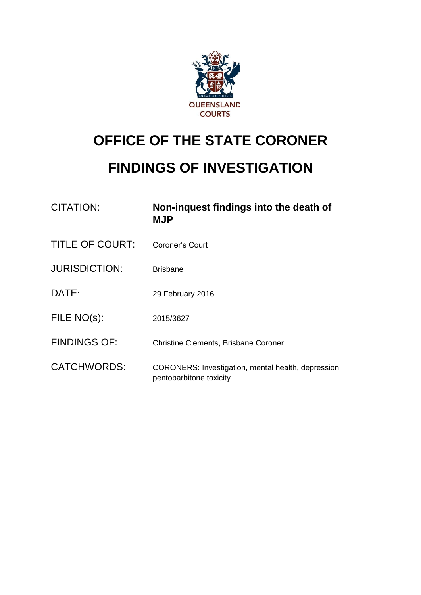

# **OFFICE OF THE STATE CORONER**

# **FINDINGS OF INVESTIGATION**

| <b>CITATION:</b>       | Non-inquest findings into the death of<br><b>MJP</b>                           |
|------------------------|--------------------------------------------------------------------------------|
| <b>TITLE OF COURT:</b> | Coroner's Court                                                                |
| <b>JURISDICTION:</b>   | <b>Brisbane</b>                                                                |
| DATE:                  | 29 February 2016                                                               |
| FILE NO(s):            | 2015/3627                                                                      |
| <b>FINDINGS OF:</b>    | <b>Christine Clements, Brisbane Coroner</b>                                    |
| <b>CATCHWORDS:</b>     | CORONERS: Investigation, mental health, depression,<br>pentobarbitone toxicity |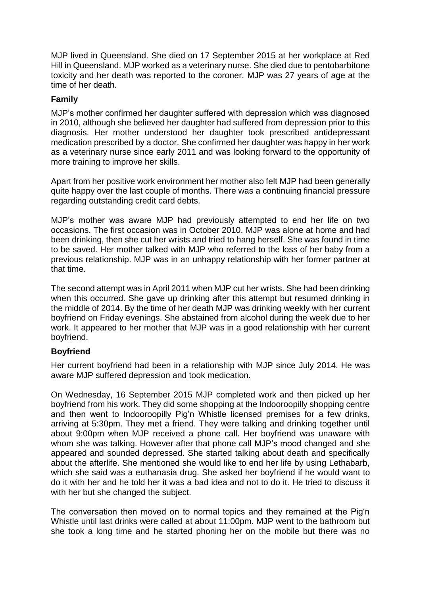MJP lived in Queensland. She died on 17 September 2015 at her workplace at Red Hill in Queensland. MJP worked as a veterinary nurse. She died due to pentobarbitone toxicity and her death was reported to the coroner. MJP was 27 years of age at the time of her death.

### **Family**

MJP's mother confirmed her daughter suffered with depression which was diagnosed in 2010, although she believed her daughter had suffered from depression prior to this diagnosis. Her mother understood her daughter took prescribed antidepressant medication prescribed by a doctor. She confirmed her daughter was happy in her work as a veterinary nurse since early 2011 and was looking forward to the opportunity of more training to improve her skills.

Apart from her positive work environment her mother also felt MJP had been generally quite happy over the last couple of months. There was a continuing financial pressure regarding outstanding credit card debts.

MJP's mother was aware MJP had previously attempted to end her life on two occasions. The first occasion was in October 2010. MJP was alone at home and had been drinking, then she cut her wrists and tried to hang herself. She was found in time to be saved. Her mother talked with MJP who referred to the loss of her baby from a previous relationship. MJP was in an unhappy relationship with her former partner at that time.

The second attempt was in April 2011 when MJP cut her wrists. She had been drinking when this occurred. She gave up drinking after this attempt but resumed drinking in the middle of 2014. By the time of her death MJP was drinking weekly with her current boyfriend on Friday evenings. She abstained from alcohol during the week due to her work. It appeared to her mother that MJP was in a good relationship with her current boyfriend.

#### **Boyfriend**

Her current boyfriend had been in a relationship with MJP since July 2014. He was aware MJP suffered depression and took medication.

On Wednesday, 16 September 2015 MJP completed work and then picked up her boyfriend from his work. They did some shopping at the Indooroopilly shopping centre and then went to Indooroopilly Pig'n Whistle licensed premises for a few drinks, arriving at 5:30pm. They met a friend. They were talking and drinking together until about 9:00pm when MJP received a phone call. Her boyfriend was unaware with whom she was talking. However after that phone call MJP's mood changed and she appeared and sounded depressed. She started talking about death and specifically about the afterlife. She mentioned she would like to end her life by using Lethabarb, which she said was a euthanasia drug. She asked her boyfriend if he would want to do it with her and he told her it was a bad idea and not to do it. He tried to discuss it with her but she changed the subject.

The conversation then moved on to normal topics and they remained at the Pig'n Whistle until last drinks were called at about 11:00pm. MJP went to the bathroom but she took a long time and he started phoning her on the mobile but there was no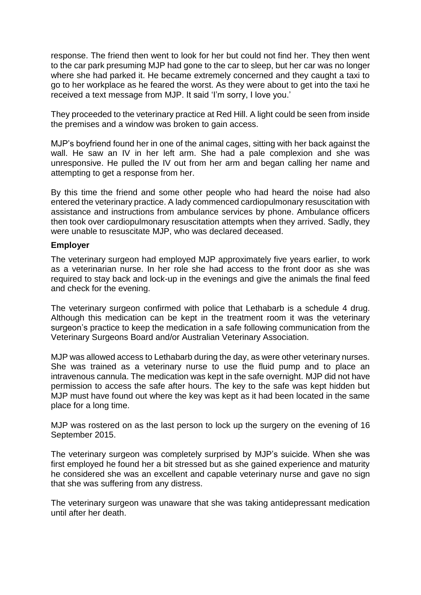response. The friend then went to look for her but could not find her. They then went to the car park presuming MJP had gone to the car to sleep, but her car was no longer where she had parked it. He became extremely concerned and they caught a taxi to go to her workplace as he feared the worst. As they were about to get into the taxi he received a text message from MJP. It said 'I'm sorry, I love you.'

They proceeded to the veterinary practice at Red Hill. A light could be seen from inside the premises and a window was broken to gain access.

MJP's boyfriend found her in one of the animal cages, sitting with her back against the wall. He saw an IV in her left arm. She had a pale complexion and she was unresponsive. He pulled the IV out from her arm and began calling her name and attempting to get a response from her.

By this time the friend and some other people who had heard the noise had also entered the veterinary practice. A lady commenced cardiopulmonary resuscitation with assistance and instructions from ambulance services by phone. Ambulance officers then took over cardiopulmonary resuscitation attempts when they arrived. Sadly, they were unable to resuscitate MJP, who was declared deceased.

#### **Employer**

The veterinary surgeon had employed MJP approximately five years earlier, to work as a veterinarian nurse. In her role she had access to the front door as she was required to stay back and lock-up in the evenings and give the animals the final feed and check for the evening.

The veterinary surgeon confirmed with police that Lethabarb is a schedule 4 drug. Although this medication can be kept in the treatment room it was the veterinary surgeon's practice to keep the medication in a safe following communication from the Veterinary Surgeons Board and/or Australian Veterinary Association.

MJP was allowed access to Lethabarb during the day, as were other veterinary nurses. She was trained as a veterinary nurse to use the fluid pump and to place an intravenous cannula. The medication was kept in the safe overnight. MJP did not have permission to access the safe after hours. The key to the safe was kept hidden but MJP must have found out where the key was kept as it had been located in the same place for a long time.

MJP was rostered on as the last person to lock up the surgery on the evening of 16 September 2015.

The veterinary surgeon was completely surprised by MJP's suicide. When she was first employed he found her a bit stressed but as she gained experience and maturity he considered she was an excellent and capable veterinary nurse and gave no sign that she was suffering from any distress.

The veterinary surgeon was unaware that she was taking antidepressant medication until after her death.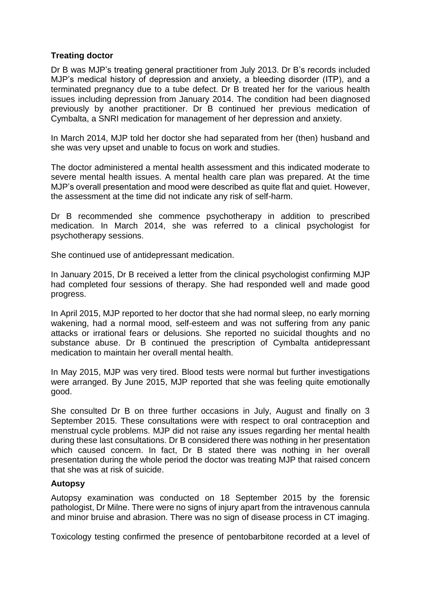## **Treating doctor**

Dr B was MJP's treating general practitioner from July 2013. Dr B's records included MJP's medical history of depression and anxiety, a bleeding disorder (ITP), and a terminated pregnancy due to a tube defect. Dr B treated her for the various health issues including depression from January 2014. The condition had been diagnosed previously by another practitioner. Dr B continued her previous medication of Cymbalta, a SNRI medication for management of her depression and anxiety.

In March 2014, MJP told her doctor she had separated from her (then) husband and she was very upset and unable to focus on work and studies.

The doctor administered a mental health assessment and this indicated moderate to severe mental health issues. A mental health care plan was prepared. At the time MJP's overall presentation and mood were described as quite flat and quiet. However, the assessment at the time did not indicate any risk of self-harm.

Dr B recommended she commence psychotherapy in addition to prescribed medication. In March 2014, she was referred to a clinical psychologist for psychotherapy sessions.

She continued use of antidepressant medication.

In January 2015, Dr B received a letter from the clinical psychologist confirming MJP had completed four sessions of therapy. She had responded well and made good progress.

In April 2015, MJP reported to her doctor that she had normal sleep, no early morning wakening, had a normal mood, self-esteem and was not suffering from any panic attacks or irrational fears or delusions. She reported no suicidal thoughts and no substance abuse. Dr B continued the prescription of Cymbalta antidepressant medication to maintain her overall mental health.

In May 2015, MJP was very tired. Blood tests were normal but further investigations were arranged. By June 2015, MJP reported that she was feeling quite emotionally good.

She consulted Dr B on three further occasions in July, August and finally on 3 September 2015. These consultations were with respect to oral contraception and menstrual cycle problems. MJP did not raise any issues regarding her mental health during these last consultations. Dr B considered there was nothing in her presentation which caused concern. In fact, Dr B stated there was nothing in her overall presentation during the whole period the doctor was treating MJP that raised concern that she was at risk of suicide.

#### **Autopsy**

Autopsy examination was conducted on 18 September 2015 by the forensic pathologist, Dr Milne. There were no signs of injury apart from the intravenous cannula and minor bruise and abrasion. There was no sign of disease process in CT imaging.

Toxicology testing confirmed the presence of pentobarbitone recorded at a level of